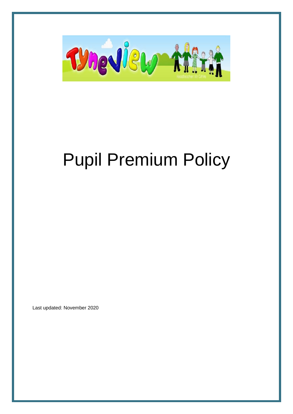

# Pupil Premium Policy

Last updated: November 2020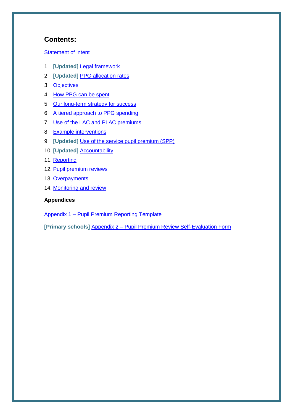#### **Contents:**

#### [Statement of intent](#page-2-0)

- 1. **[Updated]** [Legal framework](#page-3-0)
- 2. **[Updated]** [PPG allocation rates](#page-3-1)
- 3. [Objectives](#page-3-2)
- 4. [How PPG can be spent](#page-4-0)
- 5. [Our long-term strategy for success](#page-4-1)
- 6. [A tiered approach to PPG spending](#page-6-0)
- 7. [Use of the LAC and PLAC premiums](#page-6-1)
- 8. [Example interventions](#page-7-0)
- 9. **[Updated]** [Use of the service pupil premium \(SPP\)](#page-8-0)
- 10. **[Updated]** [Accountability](#page-9-0)
- 11. [Reporting](#page-9-1)
- 12. [Pupil premium reviews](#page-10-0)
- 13. [Overpayments](#page-10-1)
- 14. [Monitoring and review](#page-10-2)

#### **Appendices**

Appendix 1 – [Pupil Premium Reporting Template](#page-11-0)

**[Primary schools]** Appendix 2 – [Pupil Premium Review Self-Evaluation Form](#page-14-0)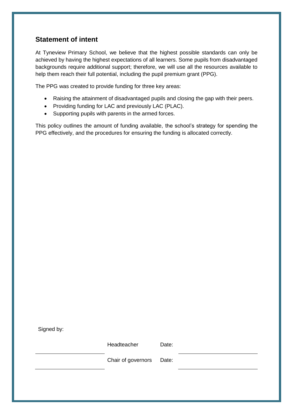### <span id="page-2-0"></span>**Statement of intent**

At Tyneview Primary School, we believe that the highest possible standards can only be achieved by having the highest expectations of all learners. Some pupils from disadvantaged backgrounds require additional support; therefore, we will use all the resources available to help them reach their full potential, including the pupil premium grant (PPG).

The PPG was created to provide funding for three key areas:

- Raising the attainment of disadvantaged pupils and closing the gap with their peers.
- Providing funding for LAC and previously LAC (PLAC).
- Supporting pupils with parents in the armed forces.

This policy outlines the amount of funding available, the school's strategy for spending the PPG effectively, and the procedures for ensuring the funding is allocated correctly.

Signed by:

Headteacher Date:

Chair of governors Date: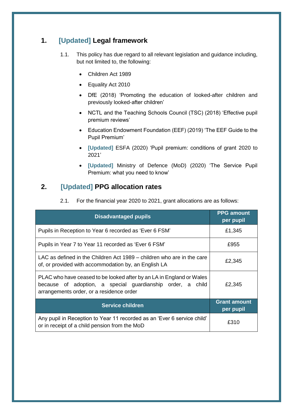## <span id="page-3-0"></span>**1. [Updated] Legal framework**

- 1.1. This policy has due regard to all relevant legislation and guidance including, but not limited to, the following:
	- Children Act 1989
	- Equality Act 2010
	- DfE (2018) 'Promoting the education of looked-after children and previously looked-after children'
	- NCTL and the Teaching Schools Council (TSC) (2018) 'Effective pupil premium reviews'
	- Education Endowment Foundation (EEF) (2019) 'The EEF Guide to the Pupil Premium'
	- **[Updated]** ESFA (2020) 'Pupil premium: conditions of grant 2020 to 2021'
	- **[Updated]** Ministry of Defence (MoD) (2020) 'The Service Pupil Premium: what you need to know'

### **2. [Updated] PPG allocation rates**

<span id="page-3-1"></span>

|  | 2.1. For the financial year 2020 to 2021, grant allocations are as follows: |  |
|--|-----------------------------------------------------------------------------|--|
|--|-----------------------------------------------------------------------------|--|

<span id="page-3-2"></span>

| <b>Disadvantaged pupils</b>                                                                                                                                                    | <b>PPG</b> amount<br>per pupil   |
|--------------------------------------------------------------------------------------------------------------------------------------------------------------------------------|----------------------------------|
| Pupils in Reception to Year 6 recorded as 'Ever 6 FSM'                                                                                                                         | £1,345                           |
| Pupils in Year 7 to Year 11 recorded as 'Ever 6 FSM'                                                                                                                           | £955                             |
| LAC as defined in the Children Act 1989 – children who are in the care<br>of, or provided with accommodation by, an English LA                                                 | £2,345                           |
| PLAC who have ceased to be looked after by an LA in England or Wales<br>because of adoption, a special guardianship order, a child<br>arrangements order, or a residence order | £2,345                           |
| <b>Service children</b>                                                                                                                                                        | <b>Grant amount</b><br>per pupil |
| Any pupil in Reception to Year 11 recorded as an 'Ever 6 service child'<br>or in receipt of a child pension from the MoD                                                       | £310                             |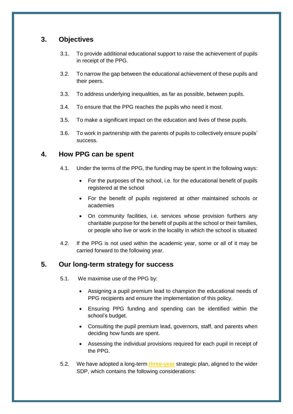#### **3. Objectives**

- 3.1. To provide additional educational support to raise the achievement of pupils in receipt of the PPG.
- 3.2. To narrow the gap between the educational achievement of these pupils and their peers.
- 3.3. To address underlying inequalities, as far as possible, between pupils.
- 3.4. To ensure that the PPG reaches the pupils who need it most.
- 3.5. To make a significant impact on the education and lives of these pupils.
- 3.6. To work in partnership with the parents of pupils to collectively ensure pupils' success.

#### <span id="page-4-0"></span>**4. How PPG can be spent**

- 4.1. Under the terms of the PPG, the funding may be spent in the following ways:
	- For the purposes of the school, i.e. for the educational benefit of pupils registered at the school
	- For the benefit of pupils registered at other maintained schools or academies
	- On community facilities, i.e. services whose provision furthers any charitable purpose for the benefit of pupils at the school or their families, or people who live or work in the locality in which the school is situated
- 4.2. If the PPG is not used within the academic year, some or all of it may be carried forward to the following year.

#### <span id="page-4-1"></span>**5. Our long-term strategy for success**

5.1. We maximise use of the PPG by:

- Assigning a pupil premium lead to champion the educational needs of PPG recipients and ensure the implementation of this policy.
- Ensuring PPG funding and spending can be identified within the school's budget.
- Consulting the pupil premium lead, governors, staff, and parents when deciding how funds are spent.
- Assessing the individual provisions required for each pupil in receipt of the PPG.
- 5.2. We have adopted a long-term **three-year** strategic plan, aligned to the wider SDP, which contains the following considerations: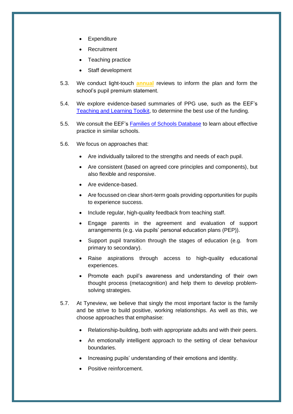- Expenditure
- Recruitment
- Teaching practice
- Staff development
- 5.3. We conduct light-touch **annual** reviews to inform the plan and form the school's pupil premium statement.
- 5.4. We explore evidence-based summaries of PPG use, such as the EEF's [Teaching and Learning Toolkit,](https://educationendowmentfoundation.org.uk/evidence-summaries/teaching-learning-toolkit) to determine the best use of the funding.
- 5.5. We consult the EEF's [Families of Schools Database](https://educationendowmentfoundation.org.uk/tools/families-of-schools-database) to learn about effective practice in similar schools.
- 5.6. We focus on approaches that:
	- Are individually tailored to the strengths and needs of each pupil.
	- Are consistent (based on agreed core principles and components), but also flexible and responsive.
	- Are evidence-based.
	- Are focussed on clear short-term goals providing opportunities for pupils to experience success.
	- Include regular, high-quality feedback from teaching staff.
	- Engage parents in the agreement and evaluation of support arrangements (e.g. via pupils' personal education plans (PEP)).
	- Support pupil transition through the stages of education (e.g. from primary to secondary).
	- Raise aspirations through access to high-quality educational experiences.
	- Promote each pupil's awareness and understanding of their own thought process (metacognition) and help them to develop problemsolving strategies.
- 5.7. At Tyneview, we believe that singly the most important factor is the family and be strive to build positive, working relationships. As well as this, we choose approaches that emphasise:
	- Relationship-building, both with appropriate adults and with their peers.
	- An emotionally intelligent approach to the setting of clear behaviour boundaries.
	- Increasing pupils' understanding of their emotions and identity.
	- Positive reinforcement.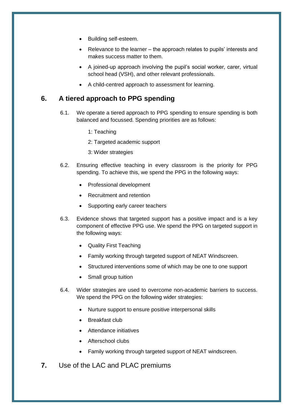- Building self-esteem.
- Relevance to the learner the approach relates to pupils' interests and makes success matter to them.
- A joined-up approach involving the pupil's social worker, carer, virtual school head (VSH), and other relevant professionals.
- A child-centred approach to assessment for learning.

#### <span id="page-6-0"></span>**6. A tiered approach to PPG spending**

- 6.1. We operate a tiered approach to PPG spending to ensure spending is both balanced and focussed. Spending priorities are as follows:
	- 1: Teaching
	- 2: Targeted academic support
	- 3: Wider strategies
- 6.2. Ensuring effective teaching in every classroom is the priority for PPG spending. To achieve this, we spend the PPG in the following ways:
	- Professional development
	- Recruitment and retention
	- Supporting early career teachers
- 6.3. Evidence shows that targeted support has a positive impact and is a key component of effective PPG use. We spend the PPG on targeted support in the following ways:
	- Quality First Teaching
	- Family working through targeted support of NEAT Windscreen.
	- Structured interventions some of which may be one to one support
	- Small group tuition
- 6.4. Wider strategies are used to overcome non-academic barriers to success. We spend the PPG on the following wider strategies:
	- Nurture support to ensure positive interpersonal skills
	- Breakfast club
	- Attendance initiatives
	- Afterschool clubs
	- Family working through targeted support of NEAT windscreen.
- <span id="page-6-1"></span>**7.** Use of the LAC and PLAC premiums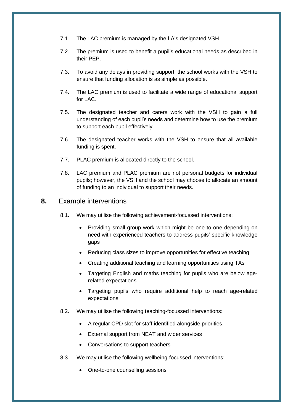- 7.1. The LAC premium is managed by the LA's designated VSH.
- 7.2. The premium is used to benefit a pupil's educational needs as described in their PEP.
- 7.3. To avoid any delays in providing support, the school works with the VSH to ensure that funding allocation is as simple as possible.
- 7.4. The LAC premium is used to facilitate a wide range of educational support for LAC.
- 7.5. The designated teacher and carers work with the VSH to gain a full understanding of each pupil's needs and determine how to use the premium to support each pupil effectively.
- 7.6. The designated teacher works with the VSH to ensure that all available funding is spent.
- 7.7. PLAC premium is allocated directly to the school.
- 7.8. LAC premium and PLAC premium are not personal budgets for individual pupils; however, the VSH and the school may choose to allocate an amount of funding to an individual to support their needs.

#### <span id="page-7-0"></span>**8.** Example interventions

- 8.1. We may utilise the following achievement-focussed interventions:
	- Providing small group work which might be one to one depending on need with experienced teachers to address pupils' specific knowledge gaps
	- Reducing class sizes to improve opportunities for effective teaching
	- Creating additional teaching and learning opportunities using TAs
	- Targeting English and maths teaching for pupils who are below agerelated expectations
	- Targeting pupils who require additional help to reach age-related expectations
- 8.2. We may utilise the following teaching-focussed interventions:
	- A regular CPD slot for staff identified alongside priorities.
	- External support from NEAT and wider services
	- Conversations to support teachers
- 8.3. We may utilise the following wellbeing-focussed interventions:
	- One-to-one counselling sessions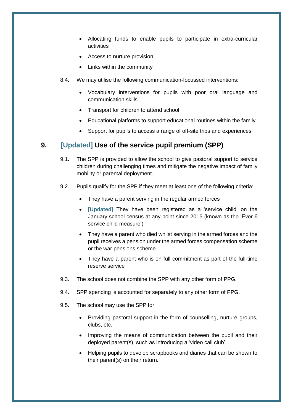- Allocating funds to enable pupils to participate in extra-curricular activities
- Access to nurture provision
- Links within the community
- 8.4. We may utilise the following communication-focussed interventions:
	- Vocabulary interventions for pupils with poor oral language and communication skills
	- Transport for children to attend school
	- Educational platforms to support educational routines within the family
	- Support for pupils to access a range of off-site trips and experiences

#### <span id="page-8-0"></span>**9. [Updated] Use of the service pupil premium (SPP)**

- 9.1. The SPP is provided to allow the school to give pastoral support to service children during challenging times and mitigate the negative impact of family mobility or parental deployment.
- 9.2. Pupils qualify for the SPP if they meet at least one of the following criteria:
	- They have a parent serving in the regular armed forces
	- **[Updated]** They have been registered as a 'service child' on the January school census at any point since 2015 (known as the 'Ever 6 service child measure')
	- They have a parent who died whilst serving in the armed forces and the pupil receives a pension under the armed forces compensation scheme or the war pensions scheme
	- They have a parent who is on full commitment as part of the full-time reserve service
- 9.3. The school does not combine the SPP with any other form of PPG.
- 9.4. SPP spending is accounted for separately to any other form of PPG.
- 9.5. The school may use the SPP for:
	- Providing pastoral support in the form of counselling, nurture groups, clubs, etc.
	- Improving the means of communication between the pupil and their deployed parent(s), such as introducing a 'video call club'.
	- Helping pupils to develop scrapbooks and diaries that can be shown to their parent(s) on their return.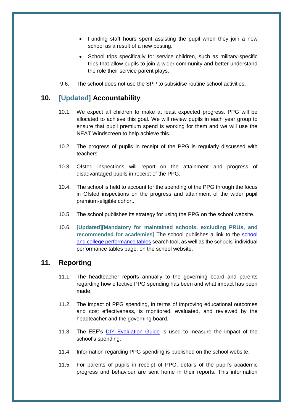- Funding staff hours spent assisting the pupil when they join a new school as a result of a new posting.
- School trips specifically for service children, such as military-specific trips that allow pupils to join a wider community and better understand the role their service parent plays.
- 9.6. The school does not use the SPP to subsidise routine school activities.

#### <span id="page-9-0"></span>**10. [Updated] Accountability**

- 10.1. We expect all children to make at least expected progress. PPG will be allocated to achieve this goal. We will review pupils in each year group to ensure that pupil premium spend is working for them and we will use the NEAT Windscreen to help achieve this.
- 10.2. The progress of pupils in receipt of the PPG is regularly discussed with teachers.
- 10.3. Ofsted inspections will report on the attainment and progress of disadvantaged pupils in receipt of the PPG.
- 10.4. The school is held to account for the spending of the PPG through the focus in Ofsted inspections on the progress and attainment of the wider pupil premium-eligible cohort.
- 10.5. The school publishes its strategy for using the PPG on the school website.
- 10.6. **[Updated][Mandatory for maintained schools, excluding PRUs, and recommended for academies]** The school publishes a link to the [school](https://www.compare-school-performance.service.gov.uk/)  [and college performance tables](https://www.compare-school-performance.service.gov.uk/) search tool, as well as the schools' individual performance tables page, on the school website.

#### <span id="page-9-1"></span>**11. Reporting**

- 11.1. The headteacher reports annually to the governing board and parents regarding how effective PPG spending has been and what impact has been made.
- 11.2. The impact of PPG spending, in terms of improving educational outcomes and cost effectiveness, is monitored, evaluated, and reviewed by the headteacher and the governing board.
- 11.3. The EEF's [DIY Evaluation Guide](https://educationendowmentfoundation.org.uk/tools/diy-guide/getting-started/) is used to measure the impact of the school's spending.
- 11.4. Information regarding PPG spending is published on the school website.
- 11.5. For parents of pupils in receipt of PPG, details of the pupil's academic progress and behaviour are sent home in their reports. This information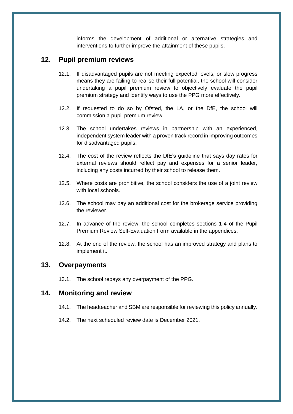informs the development of additional or alternative strategies and interventions to further improve the attainment of these pupils.

#### <span id="page-10-0"></span>**12. Pupil premium reviews**

- 12.1. If disadvantaged pupils are not meeting expected levels, or slow progress means they are failing to realise their full potential, the school will consider undertaking a pupil premium review to objectively evaluate the pupil premium strategy and identify ways to use the PPG more effectively.
- 12.2. If requested to do so by Ofsted, the LA, or the DfE, the school will commission a pupil premium review.
- 12.3. The school undertakes reviews in partnership with an experienced, independent system leader with a proven track record in improving outcomes for disadvantaged pupils.
- 12.4. The cost of the review reflects the DfE's guideline that says day rates for external reviews should reflect pay and expenses for a senior leader, including any costs incurred by their school to release them.
- 12.5. Where costs are prohibitive, the school considers the use of a joint review with local schools.
- 12.6. The school may pay an additional cost for the brokerage service providing the reviewer.
- 12.7. In advance of the review, the school completes sections 1-4 of the Pupil Premium Review Self-Evaluation Form available in the appendices.
- 12.8. At the end of the review, the school has an improved strategy and plans to implement it.

#### <span id="page-10-1"></span>**13. Overpayments**

13.1. The school repays any overpayment of the PPG.

#### <span id="page-10-2"></span>**14. Monitoring and review**

- 14.1. The headteacher and SBM are responsible for reviewing this policy annually.
- 14.2. The next scheduled review date is December 2021.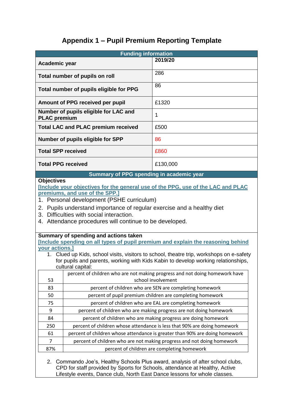# **Appendix 1 – Pupil Premium Reporting Template**

<span id="page-11-0"></span>

|                                                                                                                                                                                                                                               | <b>Funding information</b>                                                                                                                                                                                          |                                                                                                                                                                                                                                                                   |  |  |  |  |
|-----------------------------------------------------------------------------------------------------------------------------------------------------------------------------------------------------------------------------------------------|---------------------------------------------------------------------------------------------------------------------------------------------------------------------------------------------------------------------|-------------------------------------------------------------------------------------------------------------------------------------------------------------------------------------------------------------------------------------------------------------------|--|--|--|--|
| Academic year                                                                                                                                                                                                                                 |                                                                                                                                                                                                                     | 2019/20                                                                                                                                                                                                                                                           |  |  |  |  |
|                                                                                                                                                                                                                                               | Total number of pupils on roll                                                                                                                                                                                      | 286                                                                                                                                                                                                                                                               |  |  |  |  |
|                                                                                                                                                                                                                                               | Total number of pupils eligible for PPG                                                                                                                                                                             | 86                                                                                                                                                                                                                                                                |  |  |  |  |
|                                                                                                                                                                                                                                               | Amount of PPG received per pupil                                                                                                                                                                                    | £1320                                                                                                                                                                                                                                                             |  |  |  |  |
| <b>PLAC</b> premium                                                                                                                                                                                                                           | Number of pupils eligible for LAC and                                                                                                                                                                               | 1                                                                                                                                                                                                                                                                 |  |  |  |  |
|                                                                                                                                                                                                                                               | <b>Total LAC and PLAC premium received</b>                                                                                                                                                                          | £500                                                                                                                                                                                                                                                              |  |  |  |  |
|                                                                                                                                                                                                                                               | Number of pupils eligible for SPP                                                                                                                                                                                   | 86                                                                                                                                                                                                                                                                |  |  |  |  |
| <b>Total SPP received</b>                                                                                                                                                                                                                     |                                                                                                                                                                                                                     | £860                                                                                                                                                                                                                                                              |  |  |  |  |
| <b>Total PPG received</b>                                                                                                                                                                                                                     |                                                                                                                                                                                                                     | £130,000                                                                                                                                                                                                                                                          |  |  |  |  |
|                                                                                                                                                                                                                                               | Summary of PPG spending in academic year                                                                                                                                                                            |                                                                                                                                                                                                                                                                   |  |  |  |  |
| 2.<br>your actions.]                                                                                                                                                                                                                          | Pupils understand importance of regular exercise and a healthy diet<br>3. Difficulties with social interaction.<br>4. Attendance procedures will continue to be developed.<br>Summary of spending and actions taken | [Include spending on all types of pupil premium and explain the reasoning behind<br>1. Clued up Kids, school visits, visitors to school, theatre trip, workshops on e-safety<br>for pupils and parents, working with Kids Kabin to develop working relationships, |  |  |  |  |
|                                                                                                                                                                                                                                               | cultural capital:                                                                                                                                                                                                   |                                                                                                                                                                                                                                                                   |  |  |  |  |
| 53                                                                                                                                                                                                                                            |                                                                                                                                                                                                                     | percent of children who are not making progress and not doing homework have<br>school involvement                                                                                                                                                                 |  |  |  |  |
| 83                                                                                                                                                                                                                                            |                                                                                                                                                                                                                     | percent of children who are SEN are completing homework                                                                                                                                                                                                           |  |  |  |  |
| 50                                                                                                                                                                                                                                            |                                                                                                                                                                                                                     | percent of pupil premium children are completing homework                                                                                                                                                                                                         |  |  |  |  |
| 75                                                                                                                                                                                                                                            |                                                                                                                                                                                                                     | percent of children who are EAL are completing homework                                                                                                                                                                                                           |  |  |  |  |
| 9                                                                                                                                                                                                                                             |                                                                                                                                                                                                                     | percent of children who are making progress are not doing homework                                                                                                                                                                                                |  |  |  |  |
| 84                                                                                                                                                                                                                                            |                                                                                                                                                                                                                     | percent of children who are making progress are doing homework                                                                                                                                                                                                    |  |  |  |  |
| 250                                                                                                                                                                                                                                           | percent of children whose attendance is less that 90% are doing homework                                                                                                                                            |                                                                                                                                                                                                                                                                   |  |  |  |  |
| 61                                                                                                                                                                                                                                            | percent of children whose attendance is greater than 90% are doing homework                                                                                                                                         |                                                                                                                                                                                                                                                                   |  |  |  |  |
| 7                                                                                                                                                                                                                                             | percent of children who are not making progress and not doing homework                                                                                                                                              |                                                                                                                                                                                                                                                                   |  |  |  |  |
| 87%                                                                                                                                                                                                                                           |                                                                                                                                                                                                                     | percent of children are completing homework                                                                                                                                                                                                                       |  |  |  |  |
| Commando Joe's, Healthy Schools Plus award, analysis of after school clubs,<br>2.<br>CPD for staff provided by Sports for Schools, attendance at Healthy, Active<br>Lifestyle events, Dance club, North East Dance lessons for whole classes. |                                                                                                                                                                                                                     |                                                                                                                                                                                                                                                                   |  |  |  |  |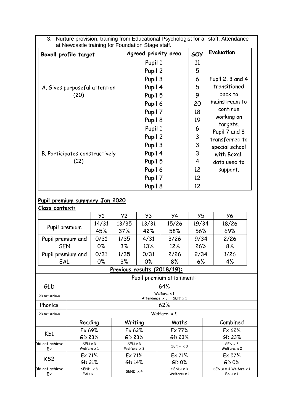| Boxall profile target          | Agreed priority area | SOY     | Evaluation                |  |  |
|--------------------------------|----------------------|---------|---------------------------|--|--|
|                                | Pupil 1<br>Pupil 2   | 11<br>5 |                           |  |  |
|                                | Pupil 3              | 6       | Pupil 2, 3 and 4          |  |  |
| A. Gives purposeful attention  | Pupil 4              | 5       | transitioned              |  |  |
| (20)                           | Pupil 5              | 9       | back to                   |  |  |
|                                | Pupil 6              | 20      | mainstream to             |  |  |
|                                | Pupil 7              | 18      | continue                  |  |  |
|                                | Pupil 8              | 19      | working on                |  |  |
|                                | Pupil 1              | 6       | targets.<br>Pupil 7 and 8 |  |  |
|                                | Pupil 2              | 3       | transferred to            |  |  |
|                                | Pupil 3              | 3       | special school            |  |  |
| B. Participates constructively | Pupil 4              | 3       | with Boxall               |  |  |
| (12)                           | Pupil 5              | 4       | data used to              |  |  |
|                                | Pupil 6              | 12      | support.                  |  |  |
|                                | Pupil 7              | 12      |                           |  |  |
|                                | Pupil 8              | 12      |                           |  |  |

#### **Pupil premium summary Jan 2020**

Ex

#### **Class context:** Y1 Y2 Y3 Y4 Y5 Y6 Pupil premium  $14/31$  $45%$ 13/35 37% 13/31  $129$ 15/26 58%

| Pupil premium         |                                                   | 45%   | 37%                                   | 42%  | 58%                             | 56%   | 69%                                            |  |
|-----------------------|---------------------------------------------------|-------|---------------------------------------|------|---------------------------------|-------|------------------------------------------------|--|
| Pupil premium and     |                                                   | 0/31  | 1/35                                  | 4/31 | 3/26                            | 9/34  | 2/26                                           |  |
| <b>SEN</b>            |                                                   | $0\%$ | 3%                                    | 13%  | 12%                             | 26%   | 8%                                             |  |
| Pupil premium and     |                                                   | 0/31  | 1/35                                  | 0/31 | 2/26                            | 2/34  | 1/26                                           |  |
| EAL                   |                                                   | $0\%$ | 3%                                    | 0%   | 8%                              | $6\%$ | 4%                                             |  |
|                       | Previous results (2018/19):                       |       |                                       |      |                                 |       |                                                |  |
|                       | Pupil premium attainment:                         |       |                                       |      |                                 |       |                                                |  |
| GLD                   | 64%                                               |       |                                       |      |                                 |       |                                                |  |
| Did not achieve       | Welfare: $\times 1$<br>Attendance: x 3<br>SEN: x1 |       |                                       |      |                                 |       |                                                |  |
| Phonics               |                                                   |       |                                       |      | 62%                             |       |                                                |  |
| Did not achieve       |                                                   |       |                                       |      | Welfare: $\times$ 5             |       |                                                |  |
|                       | Reading                                           |       | Writing                               |      | Maths                           |       | Combined                                       |  |
| KS1                   | Ex 69%                                            |       | Ex 62%                                |      | Ex 77%                          |       | Ex 62%                                         |  |
|                       | GD 23%                                            |       | GD 23%                                |      | GD 23%                          |       | GD 23%                                         |  |
| Did not achieve<br>Ex | $SEN \times 3$<br>Welfare $\times 1$              |       | $SEN \times 3$<br>Welfare: $\times$ 2 |      | $SEN - x3$                      |       | $SEN \times 3$<br>Welfare: $\times$ 2          |  |
| KS <sub>2</sub>       | Ex71%                                             |       | Ex71%                                 |      | Ex 71%                          |       | Ex 57%                                         |  |
|                       | GD 21%                                            |       | GD 14%                                |      | GD 0%                           |       | GD 0%                                          |  |
| Did not achieve<br>Ex | SEND: x3<br>EAL: x1                               |       | SEND: x 4                             |      | SEND: x3<br>Welfare: $\times 1$ |       | SEND: $\times$ 4 Welfare $\times$ 1<br>EAL: x1 |  |

19/34

18/26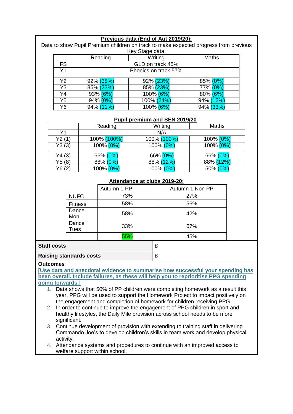#### **Previous data (End of Aut 2019/20):**

Data to show Pupil Premium children on track to make expected progress from previous Key Stage data.

|                |           | Reading              |                  |         |           | Maths |  |  |
|----------------|-----------|----------------------|------------------|---------|-----------|-------|--|--|
|                |           |                      |                  | Writing |           |       |  |  |
| <b>FS</b>      |           |                      | GLD on track 45% |         |           |       |  |  |
| Y <sub>1</sub> |           | Phonics on track 57% |                  |         |           |       |  |  |
| Y2             | 92% (38%) |                      | 92% (23%)        |         | 85% (0%)  |       |  |  |
| Y <sub>3</sub> | 85% (23%) |                      | 85% (23%)        |         | 77% (0%)  |       |  |  |
| Y4             | 93% (6%)  |                      | 100% (6%)        |         | 80% (6%)  |       |  |  |
| Y5             | 94% (0%   |                      | 100% (24%)       |         | 94% (12%) |       |  |  |
| Y6             | 94% (11%) |                      | 100% (6%         |         | 94% (33%  |       |  |  |

#### **Pupil premium and SEN 2019/20**

|        | Reading     | Writing     | <b>Maths</b> |  |  |
|--------|-------------|-------------|--------------|--|--|
| Υ1     |             | N/A         |              |  |  |
| Y2(1)  | 100% (100%) | 100% (100%) | 100% (0%)    |  |  |
| Y3(3)  | 100% (0%)   | 100% (0%)   | 100% (0%)    |  |  |
| Y4(3)  | 66% (0%)    | 66% (0%)    | 66% (0%)     |  |  |
| Y5(8)  | 88% (0%)    | 88% (12%)   | 88% (12%)    |  |  |
| Y6 (2) | 100% (0%)   | 100% (0%)   | $50\% (0\%)$ |  |  |

#### **Attendance at clubs 2019-20:**

|                                |                | Autumn 1 PP | Autumn 1 Non PP |  |
|--------------------------------|----------------|-------------|-----------------|--|
|                                | <b>NUFC</b>    | 73%         | 27%             |  |
|                                | <b>Fitness</b> | 58%         | 56%             |  |
|                                | Dance<br>Mon   | 58%         | 42%             |  |
|                                | Dance<br>Tues  | 33%         | 67%             |  |
|                                |                | 55%         | 45%             |  |
| <b>Staff costs</b>             |                |             | £               |  |
| <b>Raising standards costs</b> |                |             | £               |  |

#### **Outcomes**

**[Use data and anecdotal evidence to summarise how successful your spending has been overall. Include failures, as these will help you to reprioritise PPG spending going forwards.]**

- 1. Data shows that 50% of PP children were completing homework as a result this year, PPG will be used to support the Homework Project to impact positively on the engagement and completion of homework for children receiving PPG.
- 2. In order to continue to improve the engagement of PPG children in sport and healthy lifestyles, the Daily Mile provision across school needs to be more significant.
- 3. Continue development of provision with extending to training staff in delivering Commando Joe's to develop children's skills in team work and develop physical activity.
- 4. Attendance systems and procedures to continue with an improved access to welfare support within school.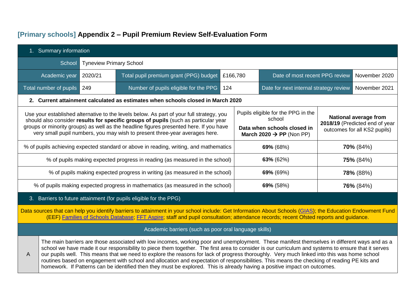# **[Primary schools] Appendix 2 – Pupil Premium Review Self-Evaluation Form**

<span id="page-14-0"></span>

| 1. Summary information                                                                                                                                                                                                                                                                             |                                                                                                                                                                                                                                                                                                                                                                                                                                                                                                                                                                                                                                                                                                                                |         |                                                                                                       |     |  |                                        |  |               |  |
|----------------------------------------------------------------------------------------------------------------------------------------------------------------------------------------------------------------------------------------------------------------------------------------------------|--------------------------------------------------------------------------------------------------------------------------------------------------------------------------------------------------------------------------------------------------------------------------------------------------------------------------------------------------------------------------------------------------------------------------------------------------------------------------------------------------------------------------------------------------------------------------------------------------------------------------------------------------------------------------------------------------------------------------------|---------|-------------------------------------------------------------------------------------------------------|-----|--|----------------------------------------|--|---------------|--|
|                                                                                                                                                                                                                                                                                                    | School<br><b>Tyneview Primary School</b>                                                                                                                                                                                                                                                                                                                                                                                                                                                                                                                                                                                                                                                                                       |         |                                                                                                       |     |  |                                        |  |               |  |
|                                                                                                                                                                                                                                                                                                    | Academic year                                                                                                                                                                                                                                                                                                                                                                                                                                                                                                                                                                                                                                                                                                                  | 2020/21 | Total pupil premium grant (PPG) budget<br>£166,780<br>Date of most recent PPG review<br>November 2020 |     |  |                                        |  |               |  |
|                                                                                                                                                                                                                                                                                                    | Total number of pupils 249                                                                                                                                                                                                                                                                                                                                                                                                                                                                                                                                                                                                                                                                                                     |         | Number of pupils eligible for the PPG                                                                 | 124 |  | Date for next internal strategy review |  | November 2021 |  |
|                                                                                                                                                                                                                                                                                                    |                                                                                                                                                                                                                                                                                                                                                                                                                                                                                                                                                                                                                                                                                                                                |         | 2. Current attainment calculated as estimates when schools closed in March 2020                       |     |  |                                        |  |               |  |
|                                                                                                                                                                                                                                                                                                    | Pupils eligible for the PPG in the<br>Use your established alternative to the levels below. As part of your full strategy, you<br><b>National average from</b><br>school<br>should also consider results for specific groups of pupils (such as particular year<br>2018/19 (Predicted end of year<br>groups or minority groups) as well as the headline figures presented here. If you have<br>Data when schools closed in<br>outcomes for all KS2 pupils)<br>very small pupil numbers, you may wish to present three-year averages here.<br>March 2020 $\rightarrow$ PP (Non PP)                                                                                                                                              |         |                                                                                                       |     |  |                                        |  |               |  |
|                                                                                                                                                                                                                                                                                                    |                                                                                                                                                                                                                                                                                                                                                                                                                                                                                                                                                                                                                                                                                                                                |         | % of pupils achieving expected standard or above in reading, writing, and mathematics                 |     |  | 69% (68%)                              |  | $70\%$ (84%)  |  |
|                                                                                                                                                                                                                                                                                                    |                                                                                                                                                                                                                                                                                                                                                                                                                                                                                                                                                                                                                                                                                                                                |         | % of pupils making expected progress in reading (as measured in the school)                           |     |  | 63% (62%)                              |  | 75% (84%)     |  |
|                                                                                                                                                                                                                                                                                                    |                                                                                                                                                                                                                                                                                                                                                                                                                                                                                                                                                                                                                                                                                                                                |         | % of pupils making expected progress in writing (as measured in the school)                           |     |  | 69% (69%)                              |  | 78% (88%)     |  |
|                                                                                                                                                                                                                                                                                                    |                                                                                                                                                                                                                                                                                                                                                                                                                                                                                                                                                                                                                                                                                                                                |         | % of pupils making expected progress in mathematics (as measured in the school)                       |     |  | 69% (58%)                              |  | 76% (84%)     |  |
|                                                                                                                                                                                                                                                                                                    |                                                                                                                                                                                                                                                                                                                                                                                                                                                                                                                                                                                                                                                                                                                                |         | 3. Barriers to future attainment (for pupils eligible for the PPG)                                    |     |  |                                        |  |               |  |
| Data sources that can help you identify barriers to attainment in your school include: Get Information About Schools (GIAS); the Education Endowment Fund<br>(EEF) Families of Schools Database, FFT Aspire; staff and pupil consultation; attendance records; recent Ofsted reports and guidance. |                                                                                                                                                                                                                                                                                                                                                                                                                                                                                                                                                                                                                                                                                                                                |         |                                                                                                       |     |  |                                        |  |               |  |
| Academic barriers (such as poor oral language skills)                                                                                                                                                                                                                                              |                                                                                                                                                                                                                                                                                                                                                                                                                                                                                                                                                                                                                                                                                                                                |         |                                                                                                       |     |  |                                        |  |               |  |
| $\overline{A}$                                                                                                                                                                                                                                                                                     | The main barriers are those associated with low incomes, working poor and unemployment. These manifest themselves in different ways and as a<br>school we have made it our responsibility to piece them together. The first area to consider is our curriculum and systems to ensure that it serves<br>our pupils well. This means that we need to explore the reasons for lack of progress thoroughly. Very much linked into this was home school<br>routines based on engagement with school and allocation and expectation of responsibilities. This means the checking of reading PE kits and<br>homework. If Patterns can be identified then they must be explored. This is already having a positive impact on outcomes. |         |                                                                                                       |     |  |                                        |  |               |  |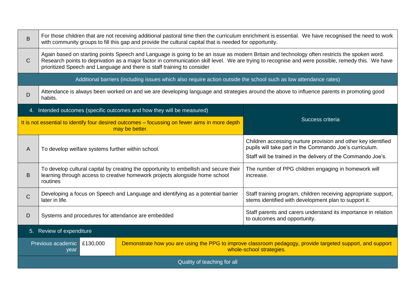| B            | For those children that are not receiving additional pastoral time then the curriculum enrichment is essential. We have recognised the need to work<br>with community groups to fill this gap and provide the cultural capital that is needed for opportunity.                                                                                                               |                                                                                                                                                                      |                                                                                                                                                                                          |  |  |  |
|--------------|------------------------------------------------------------------------------------------------------------------------------------------------------------------------------------------------------------------------------------------------------------------------------------------------------------------------------------------------------------------------------|----------------------------------------------------------------------------------------------------------------------------------------------------------------------|------------------------------------------------------------------------------------------------------------------------------------------------------------------------------------------|--|--|--|
| $\mathsf{C}$ | Again based on starting points Speech and Language is going to be an issue as modern Britain and technology often restricts the spoken word.<br>Research points to deprivation as a major factor in communication skill level. We are trying to recognise and were possible, remedy this. We have<br>prioritized Speech and Language and there is staff training to consider |                                                                                                                                                                      |                                                                                                                                                                                          |  |  |  |
|              |                                                                                                                                                                                                                                                                                                                                                                              | Additional barriers (including issues which also require action outside the school such as low attendance rates)                                                     |                                                                                                                                                                                          |  |  |  |
| D            | habits.                                                                                                                                                                                                                                                                                                                                                                      |                                                                                                                                                                      | Attendance is always been worked on and we are developing language and strategies around the above to influence parents in promoting good                                                |  |  |  |
|              |                                                                                                                                                                                                                                                                                                                                                                              | 4. Intended outcomes (specific outcomes and how they will be measured)                                                                                               |                                                                                                                                                                                          |  |  |  |
|              |                                                                                                                                                                                                                                                                                                                                                                              | It is not essential to identify four desired outcomes - focussing on fewer aims in more depth<br>may be better.                                                      | Success criteria                                                                                                                                                                         |  |  |  |
| A            | To develop welfare systems further within school.                                                                                                                                                                                                                                                                                                                            |                                                                                                                                                                      | Children accessing nurture provision and other key identified<br>pupils will take part in the Commando Joe's curriculum.<br>Staff will be trained in the delivery of the Commando Joe's. |  |  |  |
| B            | routines                                                                                                                                                                                                                                                                                                                                                                     | To develop cultural capital by creating the opportunity to embellish and secure their<br>learning through access to creative homework projects alongside home school | The number of PPG children engaging in homework will<br>increase.                                                                                                                        |  |  |  |
| $\mathsf{C}$ | later in life.                                                                                                                                                                                                                                                                                                                                                               | Developing a focus on Speech and Language and identifying as a potential barrier                                                                                     | Staff training program, children receiving appropriate support,<br>stems identified with development plan to support it.                                                                 |  |  |  |
| D            | Systems and procedures for attendance are embedded                                                                                                                                                                                                                                                                                                                           |                                                                                                                                                                      | Staff parents and carers understand its importance in relation<br>to outcomes and opportunity.                                                                                           |  |  |  |
|              | 5. Review of expenditure                                                                                                                                                                                                                                                                                                                                                     |                                                                                                                                                                      |                                                                                                                                                                                          |  |  |  |
|              | Previous academic<br>£130,000<br>year                                                                                                                                                                                                                                                                                                                                        |                                                                                                                                                                      | Demonstrate how you are using the PPG to improve classroom pedagogy, provide targeted support, and support<br>whole-school strategies.                                                   |  |  |  |
|              | Quality of teaching for all                                                                                                                                                                                                                                                                                                                                                  |                                                                                                                                                                      |                                                                                                                                                                                          |  |  |  |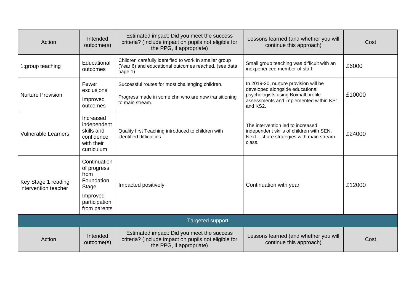| Action                                      | Intended<br>outcome(s)                                                                                   | Estimated impact: Did you meet the success<br>criteria? (Include impact on pupils not eligible for<br>the PPG, if appropriate) | Lessons learned (and whether you will<br>continue this approach)                                                                                                      | Cost   |  |  |  |  |
|---------------------------------------------|----------------------------------------------------------------------------------------------------------|--------------------------------------------------------------------------------------------------------------------------------|-----------------------------------------------------------------------------------------------------------------------------------------------------------------------|--------|--|--|--|--|
| 1:group teaching                            | Educational<br>outcomes                                                                                  | Children carefully identified to work in smaller group<br>(Year 6) and educational outcomes reached. (see data<br>page 1)      | Small group teaching was difficult with an<br>inexperienced member of staff                                                                                           | £6000  |  |  |  |  |
| <b>Nurture Provision</b>                    | Fewer<br>exclusions<br>Improved<br>outcomes                                                              | Successful routes for most challenging children.<br>Progress made in some chn who are now transitioning<br>to main stream.     | In 2019-20, nurture provision will be<br>developed alongside educational<br>psychologists using Boxhall profile<br>assessments and implemented within KS1<br>and KS2. | £10000 |  |  |  |  |
| <b>Vulnerable Learners</b>                  | Increased<br>independent<br>skills and<br>confidence<br>with their<br>curriculum                         | Quality first Teaching introduced to children with<br>identified difficulties                                                  | The intervention led to increased<br>independent skills of children with SEN.<br>Next - share strategies with main stream<br>class.                                   | £24000 |  |  |  |  |
| Key Stage 1 reading<br>intervention teacher | Continuation<br>of progress<br>from<br>Foundation<br>Stage.<br>Improved<br>participation<br>from parents | Impacted positively                                                                                                            | Continuation with year                                                                                                                                                | £12000 |  |  |  |  |
|                                             | <b>Targeted support</b>                                                                                  |                                                                                                                                |                                                                                                                                                                       |        |  |  |  |  |
| Action                                      | Intended<br>outcome(s)                                                                                   | Estimated impact: Did you meet the success<br>criteria? (Include impact on pupils not eligible for<br>the PPG, if appropriate) | Lessons learned (and whether you will<br>continue this approach)                                                                                                      | Cost   |  |  |  |  |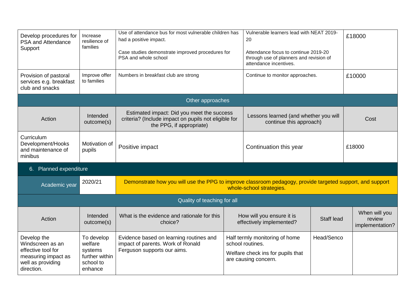| Develop procedures for<br>PSA and Attendance<br>Support                                                         | Increase<br>resilience of<br>families                                      | Use of attendance bus for most vulnerable children has<br>had a positive impact.<br>Case studies demonstrate improved procedures for<br>PSA and whole school |                                 | Vulnerable learners lead with NEAT 2019-<br>20<br>Attendance focus to continue 2019-20<br>through use of planners and revision of<br>attendance incentives. |                   | £18000                                     |
|-----------------------------------------------------------------------------------------------------------------|----------------------------------------------------------------------------|--------------------------------------------------------------------------------------------------------------------------------------------------------------|---------------------------------|-------------------------------------------------------------------------------------------------------------------------------------------------------------|-------------------|--------------------------------------------|
| Provision of pastoral<br>services e.g. breakfast<br>club and snacks                                             | Improve offer<br>to families                                               | Numbers in breakfast club are strong                                                                                                                         | Continue to monitor approaches. | £10000                                                                                                                                                      |                   |                                            |
|                                                                                                                 |                                                                            | Other approaches                                                                                                                                             |                                 |                                                                                                                                                             |                   |                                            |
| Action                                                                                                          | Intended<br>outcome(s)                                                     | Estimated impact: Did you meet the success<br>criteria? (Include impact on pupils not eligible for<br>the PPG, if appropriate)                               |                                 | Lessons learned (and whether you will<br>continue this approach)                                                                                            |                   | Cost                                       |
| Curriculum<br>Development/Hooks<br>and maintenance of<br>minibus                                                | Motivation of<br>pupils                                                    | Positive impact                                                                                                                                              |                                 | Continuation this year                                                                                                                                      |                   | £18000                                     |
| Planned expenditure<br>6.                                                                                       |                                                                            |                                                                                                                                                              |                                 |                                                                                                                                                             |                   |                                            |
| Academic year                                                                                                   | 2020/21                                                                    | Demonstrate how you will use the PPG to improve classroom pedagogy, provide targeted support, and support                                                    |                                 | whole-school strategies.                                                                                                                                    |                   |                                            |
|                                                                                                                 |                                                                            | Quality of teaching for all                                                                                                                                  |                                 |                                                                                                                                                             |                   |                                            |
| Action                                                                                                          | Intended<br>outcome(s)                                                     | What is the evidence and rationale for this<br>choice?                                                                                                       |                                 | How will you ensure it is<br>effectively implemented?                                                                                                       | <b>Staff lead</b> | When will you<br>review<br>implementation? |
| Develop the<br>Windscreen as an<br>effective tool for<br>measuring impact as<br>well as providing<br>direction. | To develop<br>welfare<br>systems<br>further within<br>school to<br>enhance | Evidence based on learning routines and<br>impact of parents. Work of Ronald<br>Ferguson supports our aims.                                                  |                                 | Half termly monitoring of home<br>school routines.<br>Welfare check ins for pupils that<br>are causing concern.                                             | Head/Senco        |                                            |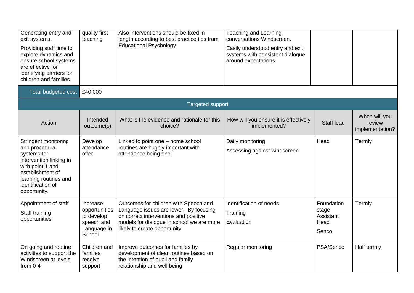| Generating entry and<br>exit systems.<br>Providing staff time to<br>explore dynamics and<br>ensure school systems<br>are effective for<br>identifying barriers for<br>children and families | quality first<br>teaching                                                      | Also interventions should be fixed in<br>length according to best practice tips from<br><b>Educational Psychology</b>                                                                                 | <b>Teaching and Learning</b><br>conversations Windscreen.<br>Easily understood entry and exit<br>systems with consistent dialogue<br>around expectations |                                                   |                                            |  |  |  |  |
|---------------------------------------------------------------------------------------------------------------------------------------------------------------------------------------------|--------------------------------------------------------------------------------|-------------------------------------------------------------------------------------------------------------------------------------------------------------------------------------------------------|----------------------------------------------------------------------------------------------------------------------------------------------------------|---------------------------------------------------|--------------------------------------------|--|--|--|--|
| Total budgeted cost                                                                                                                                                                         | £40,000                                                                        |                                                                                                                                                                                                       |                                                                                                                                                          |                                                   |                                            |  |  |  |  |
| <b>Targeted support</b>                                                                                                                                                                     |                                                                                |                                                                                                                                                                                                       |                                                                                                                                                          |                                                   |                                            |  |  |  |  |
| Action                                                                                                                                                                                      | Intended<br>outcome(s)                                                         | What is the evidence and rationale for this<br>choice?                                                                                                                                                | How will you ensure it is effectively<br>implemented?                                                                                                    | <b>Staff lead</b>                                 | When will you<br>review<br>implementation? |  |  |  |  |
| Stringent monitoring<br>and procedural<br>systems for<br>intervention linking in<br>with point 1 and<br>establishment of<br>learning routines and<br>identification of<br>opportunity.      | Develop<br>attendance<br>offer                                                 | Linked to point one - home school<br>routines are hugely important with<br>attendance being one.                                                                                                      | Daily monitoring<br>Assessing against windscreen                                                                                                         | Head                                              | Termly                                     |  |  |  |  |
| Appointment of staff<br>Staff training<br>opportunities                                                                                                                                     | Increase<br>opportunities<br>to develop<br>speech and<br>Language in<br>School | Outcomes for children with Speech and<br>Language issues are lower. By focusing<br>on correct interventions and positive<br>models for dialogue in school we are more<br>likely to create opportunity | Identification of needs<br>Training<br>Evaluation                                                                                                        | Foundation<br>stage<br>Assistant<br>Head<br>Senco | Termly                                     |  |  |  |  |
| On going and routine<br>activities to support the<br>Windscreen at levels<br>from $0-4$                                                                                                     | Children and<br>families<br>receive<br>support                                 | Improve outcomes for families by<br>development of clear routines based on<br>the intention of pupil and family<br>relationship and well being                                                        | Regular monitoring                                                                                                                                       | PSA/Senco                                         | Half termly                                |  |  |  |  |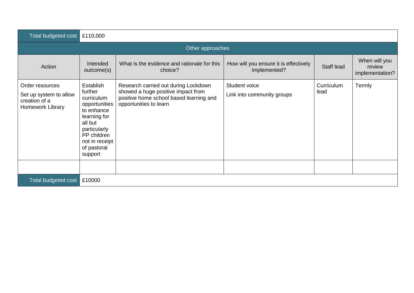| Total budgeted cost                                                            | £110,000                                                                                                                                                                       |                                                                                                                                                 |                                                       |                    |                                            |  |  |  |  |
|--------------------------------------------------------------------------------|--------------------------------------------------------------------------------------------------------------------------------------------------------------------------------|-------------------------------------------------------------------------------------------------------------------------------------------------|-------------------------------------------------------|--------------------|--------------------------------------------|--|--|--|--|
| Other approaches                                                               |                                                                                                                                                                                |                                                                                                                                                 |                                                       |                    |                                            |  |  |  |  |
| Action                                                                         | Intended<br>outcome(s)                                                                                                                                                         | What is the evidence and rationale for this<br>choice?                                                                                          | How will you ensure it is effectively<br>implemented? | Staff lead         | When will you<br>review<br>implementation? |  |  |  |  |
| Order resources<br>Set up system to allow<br>creation of a<br>Homework Library | <b>Establish</b><br>further<br>curriculum<br>opportunities<br>to enhance<br>learning for<br>all but<br>particularly<br>PP children<br>not in receipt<br>of pastoral<br>support | Research carried out during Lockdown<br>showed a huge positive impact from<br>positive home school based learning and<br>opportunities to learn | Student voice<br>Link into community groups           | Curriculum<br>lead | Termly                                     |  |  |  |  |
| Total budgeted cost                                                            | £10000                                                                                                                                                                         |                                                                                                                                                 |                                                       |                    |                                            |  |  |  |  |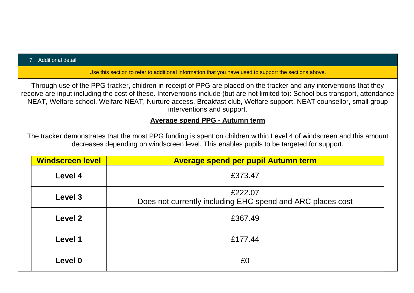#### 7. Additional detail

Use this section to refer to additional information that you have used to support the sections above.

Through use of the PPG tracker, children in receipt of PPG are placed on the tracker and any interventions that they receive are input including the cost of these. Interventions include (but are not limited to): School bus transport, attendance NEAT, Welfare school, Welfare NEAT, Nurture access, Breakfast club, Welfare support, NEAT counsellor, small group interventions and support.

#### **Average spend PPG - Autumn term**

The tracker demonstrates that the most PPG funding is spent on children within Level 4 of windscreen and this amount decreases depending on windscreen level. This enables pupils to be targeted for support.

| <b>Windscreen level</b> | <b>Average spend per pupil Autumn term</b>                            |  |  |  |  |  |
|-------------------------|-----------------------------------------------------------------------|--|--|--|--|--|
| Level 4                 | £373.47                                                               |  |  |  |  |  |
| Level 3                 | £222.07<br>Does not currently including EHC spend and ARC places cost |  |  |  |  |  |
| Level 2                 | £367.49                                                               |  |  |  |  |  |
| Level 1                 | £177.44                                                               |  |  |  |  |  |
| Level 0                 | £0                                                                    |  |  |  |  |  |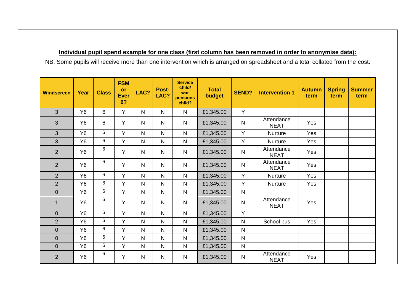#### **Individual pupil spend example for one class (first column has been removed in order to anonymise data):**

NB: Some pupils will receive more than one intervention which is arranged on spreadsheet and a total collated from the cost.

| <b>Windscreen</b> | Year      | <b>Class</b> | <b>FSM</b><br>or<br><b>Ever</b><br>6? | LAC?           | Post-<br>LAC? | <b>Service</b><br>child/<br>war<br>pensions<br>child? | <b>Total</b><br>budget | <b>SEND?</b>   | <b>Intervention 1</b>     | <b>Autumn</b><br>term | <b>Spring</b><br>term | <b>Summer</b><br>term |
|-------------------|-----------|--------------|---------------------------------------|----------------|---------------|-------------------------------------------------------|------------------------|----------------|---------------------------|-----------------------|-----------------------|-----------------------|
| 3                 | <b>Y6</b> | 6            | Y                                     | $\mathsf{N}$   | $\mathsf{N}$  | $\mathsf{N}$                                          | £1,345.00              | Y              |                           |                       |                       |                       |
| 3                 | Y6        | 6            | Y                                     | N.             | $\mathsf{N}$  | N                                                     | £1,345.00              | $\mathsf{N}$   | Attendance<br><b>NEAT</b> | <b>Yes</b>            |                       |                       |
| 3                 | <b>Y6</b> | 6            | Y                                     | N.             | $\mathsf{N}$  | N                                                     | £1,345.00              | Y              | <b>Nurture</b>            | Yes                   |                       |                       |
| 3                 | <b>Y6</b> | 6            | Y                                     | N.             | $\mathsf{N}$  | $\mathsf{N}$                                          | £1,345.00              | Y              | <b>Nurture</b>            | Yes                   |                       |                       |
| $\overline{2}$    | Y6        | 6            | Y                                     | N              | $\mathsf{N}$  | $\mathsf{N}$                                          | £1,345.00              | $\mathsf{N}$   | Attendance<br><b>NEAT</b> | Yes                   |                       |                       |
| 2                 | Y6        | 6            | Y                                     | N.             | $\mathsf{N}$  | N                                                     | £1,345.00              | $\mathsf{N}$   | Attendance<br><b>NEAT</b> | Yes                   |                       |                       |
| $\overline{2}$    | Y6        | 6            | Y                                     | N.             | $\mathsf{N}$  | $\mathsf{N}$                                          | £1,345.00              | Y              | <b>Nurture</b>            | Yes                   |                       |                       |
| $\overline{2}$    | <b>Y6</b> | 6            | Y                                     | $\mathsf{N}$   | $\mathsf{N}$  | N                                                     | £1,345.00              | Y              | <b>Nurture</b>            | Yes                   |                       |                       |
| $\overline{0}$    | Y6        | 6            | Y                                     | N.             | $\mathsf{N}$  | N                                                     | £1,345.00              | $\mathsf{N}$   |                           |                       |                       |                       |
| $\mathbf 1$       | <b>Y6</b> | 6            | Y                                     | N.             | $\mathsf{N}$  | $\mathsf{N}$                                          | £1,345.00              | $\overline{N}$ | Attendance<br><b>NEAT</b> | Yes                   |                       |                       |
| $\overline{0}$    | Y6        | 6            | Y                                     | N.             | $\mathsf{N}$  | $\mathsf{N}$                                          | £1,345.00              | Y              |                           |                       |                       |                       |
| $\overline{2}$    | <b>Y6</b> | 6            | Y                                     | N.             | N             | N                                                     | £1,345.00              | $\mathsf{N}$   | School bus                | Yes                   |                       |                       |
| $\boldsymbol{0}$  | Y6        | 6            | Y                                     | $\overline{N}$ | $\mathsf{N}$  | $\mathsf{N}$                                          | £1,345.00              | $\mathsf{N}$   |                           |                       |                       |                       |
| $\mathbf 0$       | Y6        | 6            | Y                                     | N.             | $\mathsf{N}$  | $\mathsf{N}$                                          | £1,345.00              | $\mathsf{N}$   |                           |                       |                       |                       |
| $\overline{0}$    | <b>Y6</b> | 6            | Y                                     | $\mathsf{N}$   | $\mathsf{N}$  | N                                                     | £1,345.00              | $\mathsf{N}$   |                           |                       |                       |                       |
| $\overline{2}$    | Y6        | 6            | Y                                     | $\mathsf{N}$   | $\mathsf{N}$  | $\mathsf{N}$                                          | £1,345.00              | $\mathsf{N}$   | Attendance<br><b>NEAT</b> | Yes                   |                       |                       |